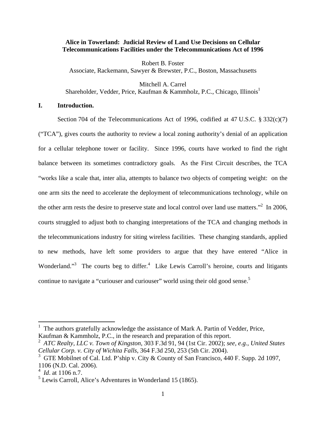### **Alice in Towerland: Judicial Review of Land Use Decisions on Cellular Telecommunications Facilities under the Telecommunications Act of 1996**

Robert B. Foster Associate, Rackemann, Sawyer & Brewster, P.C., Boston, Massachusetts

Mitchell A. Carrel Shareholder, Vedder, Price, Kaufman & Kammholz, P.C., Chicago, Illinois<sup>1</sup>

# **I. Introduction.**

Section 704 of the Telecommunications Act of 1996, codified at 47 U.S.C. § 332(c)(7) ("TCA"), gives courts the authority to review a local zoning authority's denial of an application for a cellular telephone tower or facility. Since 1996, courts have worked to find the right balance between its sometimes contradictory goals. As the First Circuit describes, the TCA "works like a scale that, inter alia, attempts to balance two objects of competing weight: on the one arm sits the need to accelerate the deployment of telecommunications technology, while on the other arm rests the desire to preserve state and local control over land use matters.<sup> $2$ </sup> In 2006, courts struggled to adjust both to changing interpretations of the TCA and changing methods in the telecommunications industry for siting wireless facilities. These changing standards, applied to new methods, have left some providers to argue that they have entered "Alice in Wonderland."<sup>3</sup> The courts beg to differ.<sup>4</sup> Like Lewis Carroll's heroine, courts and litigants continue to navigate a "curiouser and curiouser" world using their old good sense.<sup>5</sup>

1

<sup>1</sup> The authors gratefully acknowledge the assistance of Mark A. Partin of Vedder, Price, Kaufman & Kammholz, P.C., in the research and preparation of this report.

<sup>2</sup> *ATC Realty, LLC v. Town of Kingston*, 303 F.3d 91, 94 (1st Cir. 2002); *see, e.g.*, *United States Cellular Corp. v. City of Wichita Falls*, 364 F.3d 250, 253 (5th Cir. 2004).

<sup>&</sup>lt;sup>3</sup> GTE Mobilnet of Cal. Ltd. P'ship v. City & County of San Francisco, 440 F. Supp. 2d 1097, 1106 (N.D. Cal. 2006).

<sup>4</sup> *Id*. at 1106 n.7.

 $<sup>5</sup>$  Lewis Carroll, Alice's Adventures in Wonderland 15 (1865).</sup>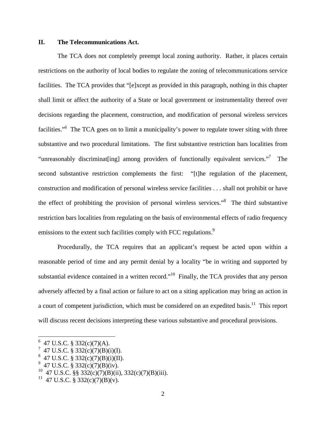# **II. The Telecommunications Act.**

The TCA does not completely preempt local zoning authority. Rather, it places certain restrictions on the authority of local bodies to regulate the zoning of telecommunications service facilities. The TCA provides that "[e]xcept as provided in this paragraph, nothing in this chapter shall limit or affect the authority of a State or local government or instrumentality thereof over decisions regarding the placement, construction, and modification of personal wireless services facilities."<sup>6</sup> The TCA goes on to limit a municipality's power to regulate tower siting with three substantive and two procedural limitations. The first substantive restriction bars localities from "unreasonably discriminat[ing] among providers of functionally equivalent services."<sup>7</sup> The second substantive restriction complements the first: "[t]he regulation of the placement, construction and modification of personal wireless service facilities . . . shall not prohibit or have the effect of prohibiting the provision of personal wireless services."8 The third substantive restriction bars localities from regulating on the basis of environmental effects of radio frequency emissions to the extent such facilities comply with FCC regulations.<sup>9</sup>

Procedurally, the TCA requires that an applicant's request be acted upon within a reasonable period of time and any permit denial by a locality "be in writing and supported by substantial evidence contained in a written record."<sup>10</sup> Finally, the TCA provides that any person adversely affected by a final action or failure to act on a siting application may bring an action in a court of competent jurisdiction, which must be considered on an expedited basis.<sup>11</sup> This report will discuss recent decisions interpreting these various substantive and procedural provisions.

 $6$  47 U.S.C. § 332(c)(7)(A).

<sup>7</sup> 47 U.S.C. § 332(c)(7)(B)(i)(I).

 $8\,$  47 U.S.C. § 332(c)(7)(B)(i)(II).

 $9\,$  47 U.S.C. § 332(c)(7)(B)(iv).

<sup>&</sup>lt;sup>10</sup> 47 U.S.C. §§ 332(c)(7)(B)(ii), 332(c)(7)(B)(iii).

<sup>&</sup>lt;sup>11</sup> 47 U.S.C. § 332(c)(7)(B)(v).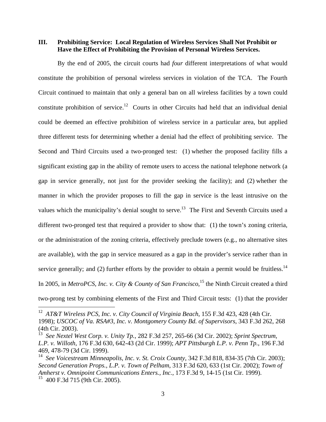# **III. Prohibiting Service: Local Regulation of Wireless Services Shall Not Prohibit or Have the Effect of Prohibiting the Provision of Personal Wireless Services.**

By the end of 2005, the circuit courts had *four* different interpretations of what would constitute the prohibition of personal wireless services in violation of the TCA. The Fourth Circuit continued to maintain that only a general ban on all wireless facilities by a town could constitute prohibition of service.12 Courts in other Circuits had held that an individual denial could be deemed an effective prohibition of wireless service in a particular area, but applied three different tests for determining whether a denial had the effect of prohibiting service. The Second and Third Circuits used a two-pronged test: (1) whether the proposed facility fills a significant existing gap in the ability of remote users to access the national telephone network (a gap in service generally, not just for the provider seeking the facility); and (2) whether the manner in which the provider proposes to fill the gap in service is the least intrusive on the values which the municipality's denial sought to serve.<sup>13</sup> The First and Seventh Circuits used a different two-pronged test that required a provider to show that: (1) the town's zoning criteria, or the administration of the zoning criteria, effectively preclude towers (e.g., no alternative sites are available), with the gap in service measured as a gap in the provider's service rather than in service generally; and (2) further efforts by the provider to obtain a permit would be fruitless.<sup>14</sup> In 2005, in *MetroPCS, Inc. v. City & County of San Francisco*,<sup>15</sup> the Ninth Circuit created a third two-prong test by combining elements of the First and Third Circuit tests: (1) that the provider

<sup>12</sup> *AT&T Wireless PCS, Inc. v. City Council of Virginia Beach*, 155 F.3d 423, 428 (4th Cir. 1998); *USCOC of Va. RSA#3, Inc. v. Montgomery County Bd. of Supervisors*, 343 F.3d 262, 268 (4th Cir. 2003).

<sup>13</sup> *See Nextel West Corp. v. Unity Tp.*, 282 F.3d 257, 265-66 (3d Cir. 2002); *Sprint Spectrum, L.P. v. Willoth*, 176 F.3d 630, 642-43 (2d Cir. 1999); *APT Pittsburgh L.P. v. Penn Tp.*, 196 F.3d 469, 478-79 (3d Cir. 1999).

<sup>14</sup> *See Voicestream Minneapolis, Inc. v. St. Croix County*, 342 F.3d 818, 834-35 (7th Cir. 2003); *Second Generation Props., L.P. v. Town of Pelham*, 313 F.3d 620, 633 (1st Cir. 2002); *Town of Amherst v. Omnipoint Communications Enters., Inc.*, 173 F.3d 9, 14-15 (1st Cir. 1999).  $15$  400 F.3d 715 (9th Cir. 2005).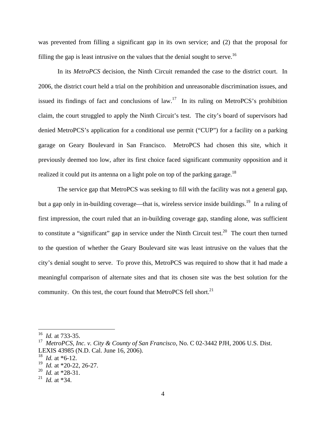was prevented from filling a significant gap in its own service; and (2) that the proposal for filling the gap is least intrusive on the values that the denial sought to serve.<sup>16</sup>

In its *MetroPCS* decision, the Ninth Circuit remanded the case to the district court. In 2006, the district court held a trial on the prohibition and unreasonable discrimination issues, and issued its findings of fact and conclusions of law.<sup>17</sup> In its ruling on MetroPCS's prohibition claim, the court struggled to apply the Ninth Circuit's test. The city's board of supervisors had denied MetroPCS's application for a conditional use permit ("CUP") for a facility on a parking garage on Geary Boulevard in San Francisco. MetroPCS had chosen this site, which it previously deemed too low, after its first choice faced significant community opposition and it realized it could put its antenna on a light pole on top of the parking garage.<sup>18</sup>

The service gap that MetroPCS was seeking to fill with the facility was not a general gap, but a gap only in in-building coverage—that is, wireless service inside buildings.<sup>19</sup> In a ruling of first impression, the court ruled that an in-building coverage gap, standing alone, was sufficient to constitute a "significant" gap in service under the Ninth Circuit test.<sup>20</sup> The court then turned to the question of whether the Geary Boulevard site was least intrusive on the values that the city's denial sought to serve. To prove this, MetroPCS was required to show that it had made a meaningful comparison of alternate sites and that its chosen site was the best solution for the community. On this test, the court found that MetroPCS fell short. $21$ 

<sup>16</sup> *Id.* at 733-35.

<sup>17</sup> *MetroPCS, Inc. v. City & County of San Francisco*, No. C 02-3442 PJH, 2006 U.S. Dist. LEXIS 43985 (N.D. Cal. June 16, 2006).

<sup>18</sup> *Id.* at \*6-12.

<sup>19</sup> *Id.* at \*20-22, 26-27.

<sup>20</sup> *Id.* at \*28-31.

<sup>21</sup> *Id.* at \*34.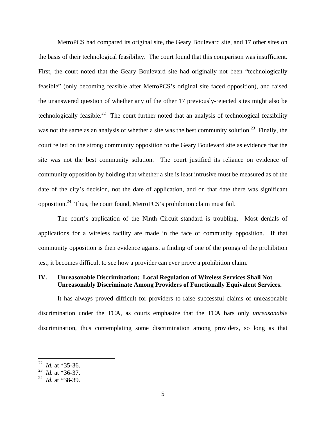MetroPCS had compared its original site, the Geary Boulevard site, and 17 other sites on the basis of their technological feasibility. The court found that this comparison was insufficient. First, the court noted that the Geary Boulevard site had originally not been "technologically feasible" (only becoming feasible after MetroPCS's original site faced opposition), and raised the unanswered question of whether any of the other 17 previously-rejected sites might also be technologically feasible.<sup>22</sup> The court further noted that an analysis of technological feasibility was not the same as an analysis of whether a site was the best community solution.<sup>23</sup> Finally, the court relied on the strong community opposition to the Geary Boulevard site as evidence that the site was not the best community solution. The court justified its reliance on evidence of community opposition by holding that whether a site is least intrusive must be measured as of the date of the city's decision, not the date of application, and on that date there was significant opposition.24 Thus, the court found, MetroPCS's prohibition claim must fail.

The court's application of the Ninth Circuit standard is troubling. Most denials of applications for a wireless facility are made in the face of community opposition. If that community opposition is then evidence against a finding of one of the prongs of the prohibition test, it becomes difficult to see how a provider can ever prove a prohibition claim.

# **IV. Unreasonable Discrimination: Local Regulation of Wireless Services Shall Not Unreasonably Discriminate Among Providers of Functionally Equivalent Services.**

It has always proved difficult for providers to raise successful claims of unreasonable discrimination under the TCA, as courts emphasize that the TCA bars only *unreasonable* discrimination, thus contemplating some discrimination among providers, so long as that

*Id.* at \*35-36.

<sup>23</sup> *Id.* at \*36-37.

<sup>24</sup> *Id.* at \*38-39.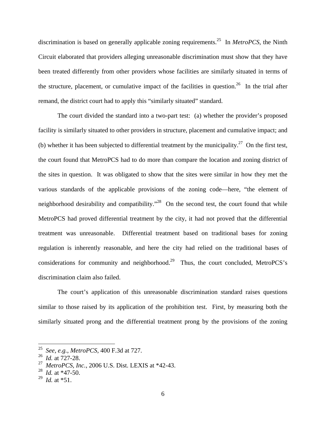discrimination is based on generally applicable zoning requirements.25 In *MetroPCS,* the Ninth Circuit elaborated that providers alleging unreasonable discrimination must show that they have been treated differently from other providers whose facilities are similarly situated in terms of the structure, placement, or cumulative impact of the facilities in question.<sup>26</sup> In the trial after remand, the district court had to apply this "similarly situated" standard.

The court divided the standard into a two-part test: (a) whether the provider's proposed facility is similarly situated to other providers in structure, placement and cumulative impact; and (b) whether it has been subjected to differential treatment by the municipality.<sup>27</sup> On the first test, the court found that MetroPCS had to do more than compare the location and zoning district of the sites in question. It was obligated to show that the sites were similar in how they met the various standards of the applicable provisions of the zoning code—here, "the element of neighborhood desirability and compatibility. $\frac{1}{28}$  On the second test, the court found that while MetroPCS had proved differential treatment by the city, it had not proved that the differential treatment was unreasonable. Differential treatment based on traditional bases for zoning regulation is inherently reasonable, and here the city had relied on the traditional bases of considerations for community and neighborhood.<sup>29</sup> Thus, the court concluded, MetroPCS's discrimination claim also failed.

The court's application of this unreasonable discrimination standard raises questions similar to those raised by its application of the prohibition test. First, by measuring both the similarly situated prong and the differential treatment prong by the provisions of the zoning

<sup>25</sup> *See, e.g.*, *MetroPCS,* 400 F.3d at 727.

<sup>26</sup> *Id.* at 727-28.

<sup>27</sup> *MetroPCS, Inc.*, 2006 U.S. Dist. LEXIS at \*42-43.

<sup>28</sup> *Id.* at \*47-50.

 $^{29}$  *Id.* at \*51.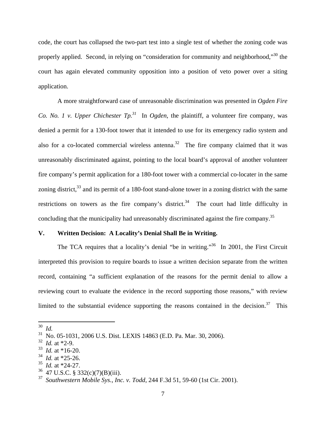code, the court has collapsed the two-part test into a single test of whether the zoning code was properly applied. Second, in relying on "consideration for community and neighborhood,"<sup>30</sup> the court has again elevated community opposition into a position of veto power over a siting application.

A more straightforward case of unreasonable discrimination was presented in *Ogden Fire Co. No. 1 v. Upper Chichester Tp.*<sup>31</sup> In *Ogden*, the plaintiff, a volunteer fire company, was denied a permit for a 130-foot tower that it intended to use for its emergency radio system and also for a co-located commercial wireless antenna.<sup>32</sup> The fire company claimed that it was unreasonably discriminated against, pointing to the local board's approval of another volunteer fire company's permit application for a 180-foot tower with a commercial co-locater in the same zoning district, $33$  and its permit of a 180-foot stand-alone tower in a zoning district with the same restrictions on towers as the fire company's district.<sup>34</sup> The court had little difficulty in concluding that the municipality had unreasonably discriminated against the fire company.<sup>35</sup>

# **V. Written Decision: A Locality's Denial Shall Be in Writing.**

The TCA requires that a locality's denial "be in writing."<sup>36</sup> In 2001, the First Circuit interpreted this provision to require boards to issue a written decision separate from the written record, containing "a sufficient explanation of the reasons for the permit denial to allow a reviewing court to evaluate the evidence in the record supporting those reasons," with review limited to the substantial evidence supporting the reasons contained in the decision.<sup>37</sup> This

<sup>30</sup> *Id.*

<sup>31</sup> No. 05-1031, 2006 U.S. Dist. LEXIS 14863 (E.D. Pa. Mar. 30, 2006).

<sup>32</sup> *Id.* at \*2-9.

<sup>33</sup> *Id.* at \*16-20.

 $\frac{34}{35}$  *Id.* at \*25-26.

*Id.* at \*24-27.

 $36$  47 U.S.C. § 332(c)(7)(B)(iii).

<sup>37</sup> *Southwestern Mobile Sys., Inc. v. Todd*, 244 F.3d 51, 59-60 (1st Cir. 2001).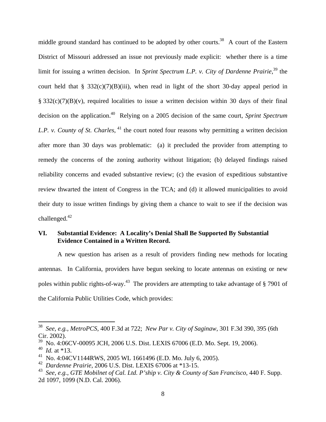middle ground standard has continued to be adopted by other courts.<sup>38</sup> A court of the Eastern District of Missouri addressed an issue not previously made explicit: whether there is a time limit for issuing a written decision. In *Sprint Spectrum L.P. v. City of Dardenne Prairie*,<sup>39</sup> the court held that § 332(c)(7)(B)(iii), when read in light of the short 30-day appeal period in  $\S$  332(c)(7)(B)(v), required localities to issue a written decision within 30 days of their final decision on the application.40 Relying on a 2005 decision of the same court, *Sprint Spectrum L.P. v. County of St. Charles*, <sup>41</sup> the court noted four reasons why permitting a written decision after more than 30 days was problematic: (a) it precluded the provider from attempting to remedy the concerns of the zoning authority without litigation; (b) delayed findings raised reliability concerns and evaded substantive review; (c) the evasion of expeditious substantive review thwarted the intent of Congress in the TCA; and (d) it allowed municipalities to avoid their duty to issue written findings by giving them a chance to wait to see if the decision was challenged. $42$ 

# **VI. Substantial Evidence: A Locality's Denial Shall Be Supported By Substantial Evidence Contained in a Written Record.**

A new question has arisen as a result of providers finding new methods for locating antennas. In California, providers have begun seeking to locate antennas on existing or new poles within public rights-of-way.<sup>43</sup> The providers are attempting to take advantage of  $\frac{87901}{ }$  of the California Public Utilities Code, which provides:

1

<sup>38</sup> *See, e.g., MetroPCS,* 400 F.3d at 722; *New Par v. City of Saginaw*, 301 F.3d 390, 395 (6th Cir. 2002).

 $39$  No. 4:06CV-00095 JCH, 2006 U.S. Dist. LEXIS 67006 (E.D. Mo. Sept. 19, 2006).

<sup>40</sup> *Id.* at \*13.

<sup>41</sup> No. 4:04CV1144RWS, 2005 WL 1661496 (E.D. Mo. July 6, 2005).

<sup>42</sup> *Dardenne Prairie*, 2006 U.S. Dist. LEXIS 67006 at \*13-15.

<sup>43</sup> *See, e.g.*, *GTE Mobilnet of Cal. Ltd. P'ship v. City & County of San Francisco*, 440 F. Supp. 2d 1097, 1099 (N.D. Cal. 2006).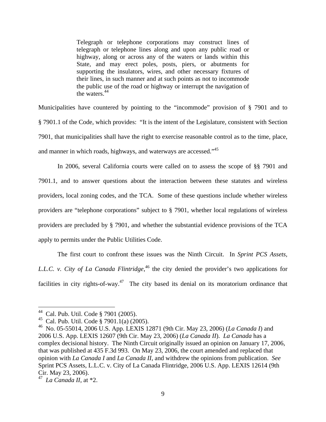Telegraph or telephone corporations may construct lines of telegraph or telephone lines along and upon any public road or highway, along or across any of the waters or lands within this State, and may erect poles, posts, piers, or abutments for supporting the insulators, wires, and other necessary fixtures of their lines, in such manner and at such points as not to incommode the public use of the road or highway or interrupt the navigation of the waters.<sup>44</sup>

Municipalities have countered by pointing to the "incommode" provision of § 7901 and to § 7901.1 of the Code, which provides: "It is the intent of the Legislature, consistent with Section 7901, that municipalities shall have the right to exercise reasonable control as to the time, place, and manner in which roads, highways, and waterways are accessed."45

In 2006, several California courts were called on to assess the scope of §§ 7901 and 7901.1, and to answer questions about the interaction between these statutes and wireless providers, local zoning codes, and the TCA. Some of these questions include whether wireless providers are "telephone corporations" subject to § 7901, whether local regulations of wireless providers are precluded by § 7901, and whether the substantial evidence provisions of the TCA apply to permits under the Public Utilities Code.

The first court to confront these issues was the Ninth Circuit. In *Sprint PCS Assets, L.L.C. v. City of La Canada Flintridge*, 46 the city denied the provider's two applications for facilities in city rights-of-way.<sup>47</sup> The city based its denial on its moratorium ordinance that

<sup>44</sup> Cal. Pub. Util. Code § 7901 (2005).

<sup>45</sup> Cal. Pub. Util. Code § 7901.1(a) (2005).

<sup>46</sup>No. 05-55014, 2006 U.S. App. LEXIS 12871 (9th Cir. May 23, 2006) (*La Canada I*) and 2006 U.S. App. LEXIS 12607 (9th Cir. May 23, 2006) (*La Canada II*). *La Canada* has a complex decisional history. The Ninth Circuit originally issued an opinion on January 17, 2006, that was published at 435 F.3d 993. On May 23, 2006, the court amended and replaced that opinion with *La Canada I* and *La Canada II*, and withdrew the opinions from publication. *See* Sprint PCS Assets, L.L.C. v. City of La Canada Flintridge, 2006 U.S. App. LEXIS 12614 (9th Cir. May 23, 2006).

<sup>47</sup> *La Canada II*, at \*2.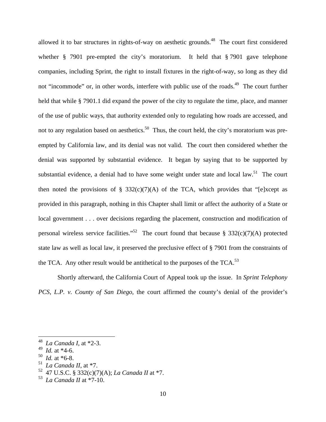allowed it to bar structures in rights-of-way on aesthetic grounds.<sup>48</sup> The court first considered whether § 7901 pre-empted the city's moratorium. It held that § 7901 gave telephone companies, including Sprint, the right to install fixtures in the right-of-way, so long as they did not "incommode" or, in other words, interfere with public use of the roads.<sup>49</sup> The court further held that while § 7901.1 did expand the power of the city to regulate the time, place, and manner of the use of public ways, that authority extended only to regulating how roads are accessed, and not to any regulation based on aesthetics.<sup>50</sup> Thus, the court held, the city's moratorium was preempted by California law, and its denial was not valid. The court then considered whether the denial was supported by substantial evidence. It began by saying that to be supported by substantial evidence, a denial had to have some weight under state and local law.<sup>51</sup> The court then noted the provisions of § 332(c)(7)(A) of the TCA, which provides that "[e]xcept as provided in this paragraph, nothing in this Chapter shall limit or affect the authority of a State or local government . . . over decisions regarding the placement, construction and modification of personal wireless service facilities."<sup>52</sup> The court found that because § 332(c)(7)(A) protected state law as well as local law, it preserved the preclusive effect of § 7901 from the constraints of the TCA. Any other result would be antithetical to the purposes of the TCA.<sup>53</sup>

Shortly afterward, the California Court of Appeal took up the issue. In *Sprint Telephony PCS, L.P. v. County of San Diego*, the court affirmed the county's denial of the provider's

<u>.</u>

<sup>48</sup> *La Canada I*, at \*2-3.

<sup>49</sup> *Id.* at \*4-6.

<sup>50</sup> *Id.* at \*6-8.

La Canada II, at  $*7$ .

<sup>52 47</sup> U.S.C. § 332(c)(7)(A); *La Canada II* at \*7.

<sup>53</sup> *La Canada II* at \*7-10.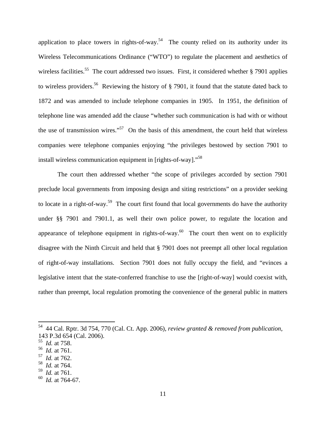application to place towers in rights-of-way.<sup>54</sup> The county relied on its authority under its Wireless Telecommunications Ordinance ("WTO") to regulate the placement and aesthetics of wireless facilities.<sup>55</sup> The court addressed two issues. First, it considered whether  $\S$  7901 applies to wireless providers.<sup>56</sup> Reviewing the history of  $\S$  7901, it found that the statute dated back to 1872 and was amended to include telephone companies in 1905. In 1951, the definition of telephone line was amended add the clause "whether such communication is had with or without the use of transmission wires."<sup>57</sup> On the basis of this amendment, the court held that wireless companies were telephone companies enjoying "the privileges bestowed by section 7901 to install wireless communication equipment in [rights-of-way]."58

The court then addressed whether "the scope of privileges accorded by section 7901 preclude local governments from imposing design and siting restrictions" on a provider seeking to locate in a right-of-way.<sup>59</sup> The court first found that local governments do have the authority under §§ 7901 and 7901.1, as well their own police power, to regulate the location and appearance of telephone equipment in rights-of-way.<sup>60</sup> The court then went on to explicitly disagree with the Ninth Circuit and held that § 7901 does not preempt all other local regulation of right-of-way installations. Section 7901 does not fully occupy the field, and "evinces a legislative intent that the state-conferred franchise to use the [right-of-way] would coexist with, rather than preempt, local regulation promoting the convenience of the general public in matters

- 57 *Id.* at 762.
- *Id.* at 764.
- 59 *Id.* at 761.

<sup>54 44</sup> Cal. Rptr. 3d 754, 770 (Cal. Ct. App. 2006), *review granted & removed from publication*, 143 P.3d 654 (Cal. 2006).

<sup>55</sup> *Id.* at 758.

<sup>56</sup> *Id.* at 761.

<sup>60</sup> *Id.* at 764-67.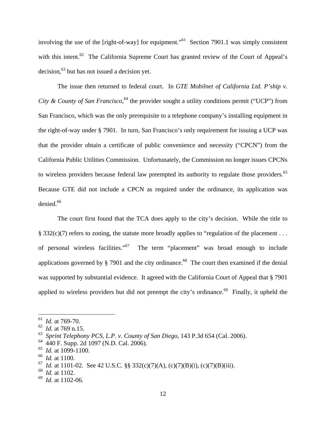involving the use of the [right-of-way] for equipment."<sup>61</sup> Section 7901.1 was simply consistent with this intent.<sup>62</sup> The California Supreme Court has granted review of the Court of Appeal's decision, $63$  but has not issued a decision yet.

The issue then returned to federal court. In *GTE Mobilnet of California Ltd. P'ship v.*  City & County of San Francisco,<sup>64</sup> the provider sought a utility conditions permit ("UCP") from San Francisco, which was the only prerequisite to a telephone company's installing equipment in the right-of-way under § 7901. In turn, San Francisco's only requirement for issuing a UCP was that the provider obtain a certificate of public convenience and necessity ("CPCN") from the California Public Utilities Commission. Unfortunately, the Commission no longer issues CPCNs to wireless providers because federal law preempted its authority to regulate those providers.<sup>65</sup> Because GTE did not include a CPCN as required under the ordinance, its application was denied.<sup>66</sup>

The court first found that the TCA does apply to the city's decision. While the title to § 332(c)(7) refers to zoning, the statute more broadly applies to "regulation of the placement . . . of personal wireless facilities."67 The term "placement" was broad enough to include applications governed by  $\S$  7901 and the city ordinance.<sup>68</sup> The court then examined if the denial was supported by substantial evidence. It agreed with the California Court of Appeal that § 7901 applied to wireless providers but did not preempt the city's ordinance.<sup>69</sup> Finally, it upheld the

<sup>61</sup> *Id.* at 769-70.

<sup>62</sup> *Id.* at 769 n.15.

<sup>63</sup> *Sprint Telephony PCS, L.P. v. County of San Diego*, 143 P.3d 654 (Cal. 2006).

<sup>64 440</sup> F. Supp. 2d 1097 (N.D. Cal. 2006).

<sup>65</sup> *Id.* at 1099-1100.

<sup>66</sup> *Id.* at 1100.

*Id.* at 1101-02. See 42 U.S.C. §§ 332(c)(7)(A), (c)(7)(B)(i), (c)(7)(B)(iii).

*Id.* at 1102.

<sup>69</sup> *Id.* at 1102-06.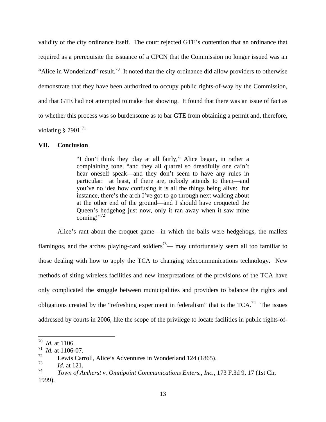validity of the city ordinance itself. The court rejected GTE's contention that an ordinance that required as a prerequisite the issuance of a CPCN that the Commission no longer issued was an "Alice in Wonderland" result.<sup>70</sup> It noted that the city ordinance did allow providers to otherwise demonstrate that they have been authorized to occupy public rights-of-way by the Commission, and that GTE had not attempted to make that showing. It found that there was an issue of fact as to whether this process was so burdensome as to bar GTE from obtaining a permit and, therefore, violating  $§$  7901.<sup>71</sup>

#### **VII. Conclusion**

"I don't think they play at all fairly," Alice began, in rather a complaining tone, "and they all quarrel so dreadfully one ca'n't hear oneself speak—and they don't seem to have any rules in particular: at least, if there are, nobody attends to them—and you've no idea how confusing it is all the things being alive: for instance, there's the arch I've got to go through next walking about at the other end of the ground—and I should have croqueted the Queen's hedgehog just now, only it ran away when it saw mine coming!" $^{72}$ 

Alice's rant about the croquet game—in which the balls were hedgehogs, the mallets flamingos, and the arches playing-card soldiers<sup>73</sup>— may unfortunately seem all too familiar to those dealing with how to apply the TCA to changing telecommunications technology. New methods of siting wireless facilities and new interpretations of the provisions of the TCA have only complicated the struggle between municipalities and providers to balance the rights and obligations created by the "refreshing experiment in federalism" that is the  $TCA$ <sup>74</sup>. The issues addressed by courts in 2006, like the scope of the privilege to locate facilities in public rights-of-

<u>.</u>

<sup>70</sup> *Id.* at 1106.

 $\frac{71}{72}$  *Id.* at 1106-07.

<sup>&</sup>lt;sup>72</sup> Lewis Carroll, Alice's Adventures in Wonderland 124 (1865).<br> $\frac{1}{4}$  detailed 121

 $\frac{73}{74}$  *Id.* at 121.

<sup>74</sup> *Town of Amherst v. Omnipoint Communications Enters., Inc.*, 173 F.3d 9, 17 (1st Cir. 1999).